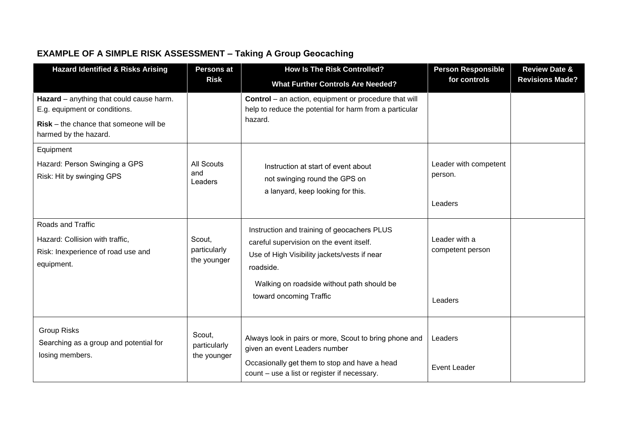## **EXAMPLE OF A SIMPLE RISK ASSESSMENT – Taking A Group Geocaching**

| <b>Hazard Identified &amp; Risks Arising</b>                                                                                                   | <b>Persons at</b><br><b>Risk</b>      | <b>How Is The Risk Controlled?</b>                                                                                                                                                                                            | <b>Person Responsible</b>                    | <b>Review Date &amp;</b> |
|------------------------------------------------------------------------------------------------------------------------------------------------|---------------------------------------|-------------------------------------------------------------------------------------------------------------------------------------------------------------------------------------------------------------------------------|----------------------------------------------|--------------------------|
|                                                                                                                                                |                                       | <b>What Further Controls Are Needed?</b>                                                                                                                                                                                      | for controls                                 | <b>Revisions Made?</b>   |
| Hazard - anything that could cause harm.<br>E.g. equipment or conditions.<br>$Risk$ – the chance that someone will be<br>harmed by the hazard. |                                       | <b>Control</b> – an action, equipment or procedure that will<br>help to reduce the potential for harm from a particular<br>hazard.                                                                                            |                                              |                          |
| Equipment<br>Hazard: Person Swinging a GPS<br>Risk: Hit by swinging GPS                                                                        | <b>All Scouts</b><br>and<br>Leaders   | Instruction at start of event about<br>not swinging round the GPS on<br>a lanyard, keep looking for this.                                                                                                                     | Leader with competent<br>person.<br>Leaders  |                          |
| Roads and Traffic<br>Hazard: Collision with traffic,<br>Risk: Inexperience of road use and<br>equipment.                                       | Scout,<br>particularly<br>the younger | Instruction and training of geocachers PLUS<br>careful supervision on the event itself.<br>Use of High Visibility jackets/vests if near<br>roadside.<br>Walking on roadside without path should be<br>toward oncoming Traffic | Leader with a<br>competent person<br>Leaders |                          |
| <b>Group Risks</b><br>Searching as a group and potential for<br>losing members.                                                                | Scout,<br>particularly<br>the younger | Always look in pairs or more, Scout to bring phone and<br>given an event Leaders number<br>Occasionally get them to stop and have a head<br>count - use a list or register if necessary.                                      | Leaders<br><b>Event Leader</b>               |                          |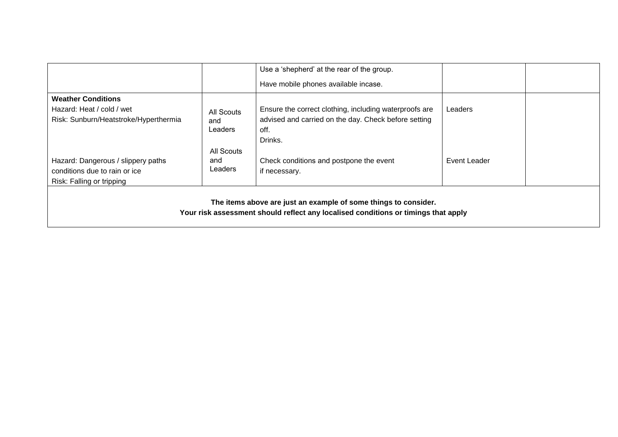|                                                                                                                                                       |                              | Use a 'shepherd' at the rear of the group.                                                                                        |              |  |  |
|-------------------------------------------------------------------------------------------------------------------------------------------------------|------------------------------|-----------------------------------------------------------------------------------------------------------------------------------|--------------|--|--|
|                                                                                                                                                       |                              | Have mobile phones available incase.                                                                                              |              |  |  |
| <b>Weather Conditions</b><br>Hazard: Heat / cold / wet<br>Risk: Sunburn/Heatstroke/Hyperthermia                                                       | All Scouts<br>and<br>Leaders | Ensure the correct clothing, including waterproofs are<br>advised and carried on the day. Check before setting<br>off.<br>Drinks. | Leaders      |  |  |
| Hazard: Dangerous / slippery paths<br>conditions due to rain or ice<br>Risk: Falling or tripping                                                      | All Scouts<br>and<br>Leaders | Check conditions and postpone the event<br>if necessary.                                                                          | Event Leader |  |  |
| The items above are just an example of some things to consider.<br>Your risk assessment should reflect any localised conditions or timings that apply |                              |                                                                                                                                   |              |  |  |